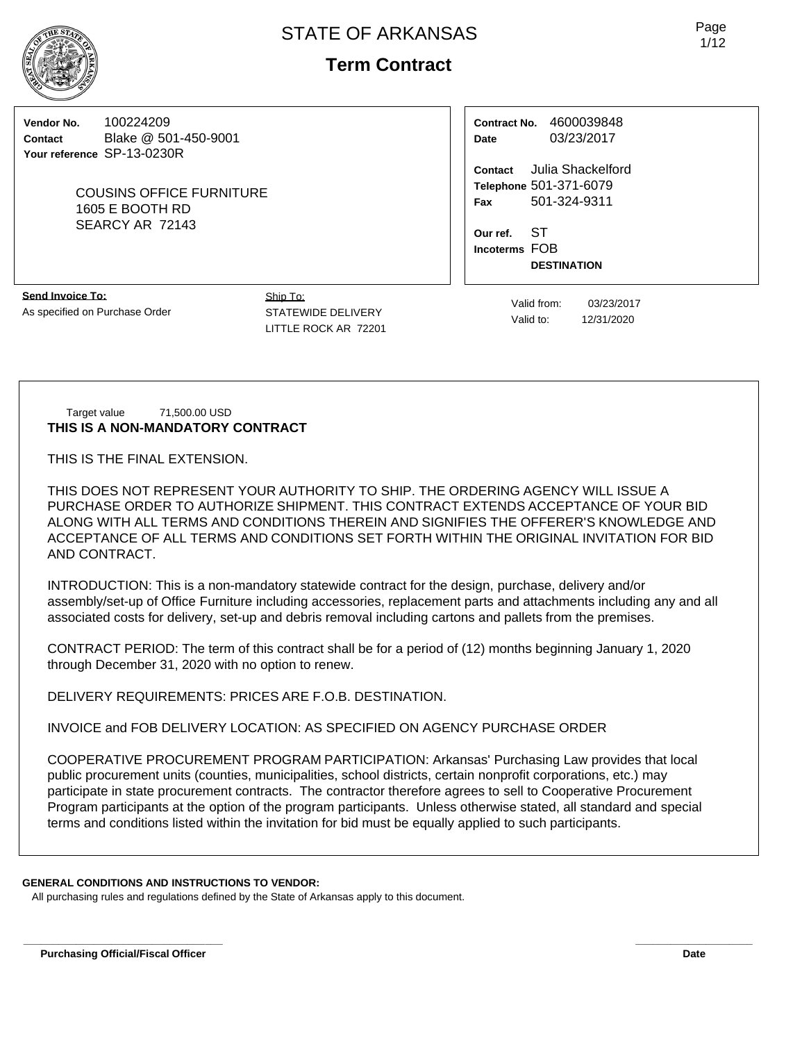**Term Contract**

**Vendor No.** 100224209 **Contact** Blake @ 501-450-9001 **Your reference** SP-13-0230R

> COUSINS OFFICE FURNITURE 1605 E BOOTH RD SEARCY AR 72143

**Contract No.** 4600039848 **Date** 03/23/2017

**Contact** Julia Shackelford **Telephone** 501-371-6079 **Fax** 501-324-9311

**Our ref.** ST **Incoterms** FOB **DESTINATION**

**Send Invoice To:** As specified on Purchase Order Ship To: STATEWIDE DELIVERY LITTLE ROCK AR 72201

Valid from: 03/23/2017 Valid to: 12/31/2020

#### Target value 71,500.00 USD **THIS IS A NON-MANDATORY CONTRACT**

THIS IS THE FINAL EXTENSION.

THIS DOES NOT REPRESENT YOUR AUTHORITY TO SHIP. THE ORDERING AGENCY WILL ISSUE A PURCHASE ORDER TO AUTHORIZE SHIPMENT. THIS CONTRACT EXTENDS ACCEPTANCE OF YOUR BID ALONG WITH ALL TERMS AND CONDITIONS THEREIN AND SIGNIFIES THE OFFERER'S KNOWLEDGE AND ACCEPTANCE OF ALL TERMS AND CONDITIONS SET FORTH WITHIN THE ORIGINAL INVITATION FOR BID AND CONTRACT.

INTRODUCTION: This is a non-mandatory statewide contract for the design, purchase, delivery and/or assembly/set-up of Office Furniture including accessories, replacement parts and attachments including any and all associated costs for delivery, set-up and debris removal including cartons and pallets from the premises.

CONTRACT PERIOD: The term of this contract shall be for a period of (12) months beginning January 1, 2020 through December 31, 2020 with no option to renew.

DELIVERY REQUIREMENTS: PRICES ARE F.O.B. DESTINATION.

INVOICE and FOB DELIVERY LOCATION: AS SPECIFIED ON AGENCY PURCHASE ORDER

COOPERATIVE PROCUREMENT PROGRAM PARTICIPATION: Arkansas' Purchasing Law provides that local public procurement units (counties, municipalities, school districts, certain nonprofit corporations, etc.) may participate in state procurement contracts. The contractor therefore agrees to sell to Cooperative Procurement Program participants at the option of the program participants. Unless otherwise stated, all standard and special terms and conditions listed within the invitation for bid must be equally applied to such participants.

**\_\_\_\_\_\_\_\_\_\_\_\_\_\_\_\_\_\_\_\_\_\_\_\_\_\_\_\_\_\_\_\_\_\_ \_\_\_\_\_\_\_\_\_\_\_\_\_\_\_\_\_\_\_\_**

# **GENERAL CONDITIONS AND INSTRUCTIONS TO VENDOR:**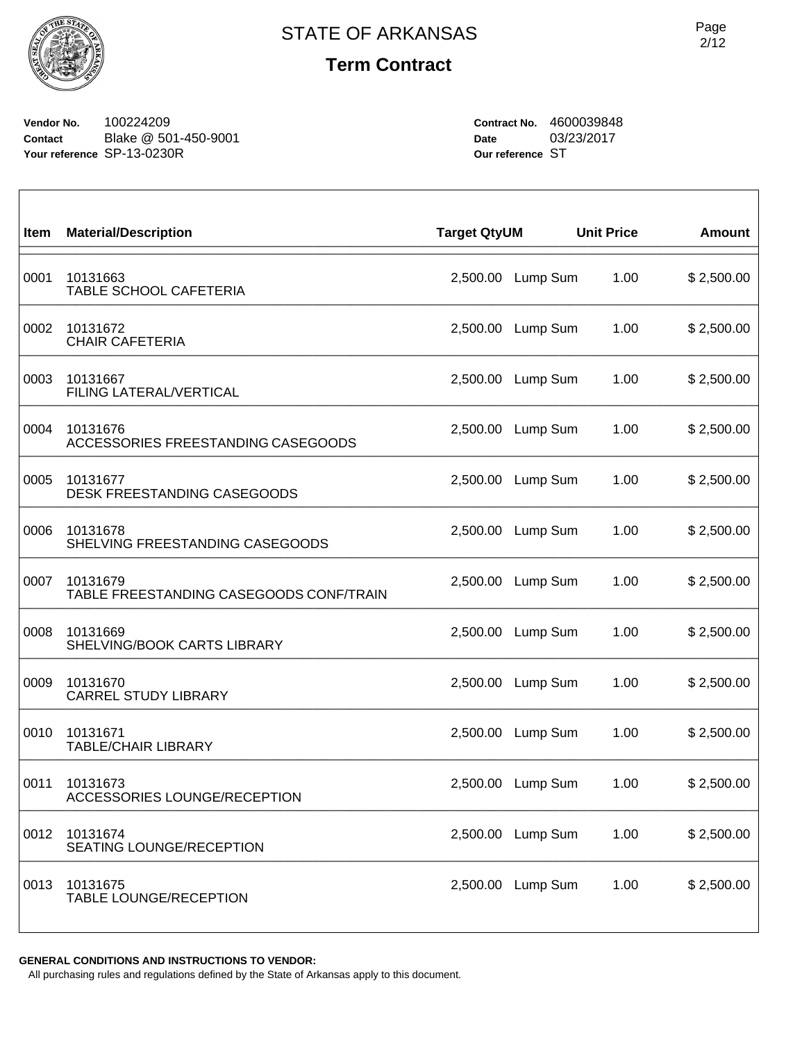

**Vendor No.** 100224209 **Contact** Blake @ 501-450-9001 **Your reference** SP-13-0230R

**Contract No.** 4600039848 **Date** 03/23/2017 **Our reference** ST

| Item | <b>Material/Description</b>                         | <b>Target QtyUM</b> |          | <b>Unit Price</b> | <b>Amount</b> |
|------|-----------------------------------------------------|---------------------|----------|-------------------|---------------|
| 0001 | 10131663<br>TABLE SCHOOL CAFETERIA                  | 2,500.00            | Lump Sum | 1.00              | \$2,500.00    |
| 0002 | 10131672<br><b>CHAIR CAFETERIA</b>                  | 2,500.00            | Lump Sum | 1.00              | \$2,500.00    |
| 0003 | 10131667<br>FILING LATERAL/VERTICAL                 | 2,500.00            | Lump Sum | 1.00              | \$2,500.00    |
| 0004 | 10131676<br>ACCESSORIES FREESTANDING CASEGOODS      | 2,500.00            | Lump Sum | 1.00              | \$2,500.00    |
| 0005 | 10131677<br>DESK FREESTANDING CASEGOODS             | 2,500.00            | Lump Sum | 1.00              | \$2,500.00    |
| 0006 | 10131678<br>SHELVING FREESTANDING CASEGOODS         | 2,500.00            | Lump Sum | 1.00              | \$2,500.00    |
| 0007 | 10131679<br>TABLE FREESTANDING CASEGOODS CONF/TRAIN | 2,500.00            | Lump Sum | 1.00              | \$2,500.00    |
| 0008 | 10131669<br>SHELVING/BOOK CARTS LIBRARY             | 2,500.00            | Lump Sum | 1.00              | \$2,500.00    |
| 0009 | 10131670<br><b>CARREL STUDY LIBRARY</b>             | 2,500.00            | Lump Sum | 1.00              | \$2,500.00    |
| 0010 | 10131671<br><b>TABLE/CHAIR LIBRARY</b>              | 2,500.00            | Lump Sum | 1.00              | \$2,500.00    |
| 0011 | 10131673<br>ACCESSORIES LOUNGE/RECEPTION            | 2,500.00            | Lump Sum | 1.00              | \$2,500.00    |
| 0012 | 10131674<br>SEATING LOUNGE/RECEPTION                | 2,500.00            | Lump Sum | 1.00              | \$2,500.00    |
| 0013 | 10131675<br>TABLE LOUNGE/RECEPTION                  | 2,500.00            | Lump Sum | 1.00              | \$2,500.00    |

**GENERAL CONDITIONS AND INSTRUCTIONS TO VENDOR:**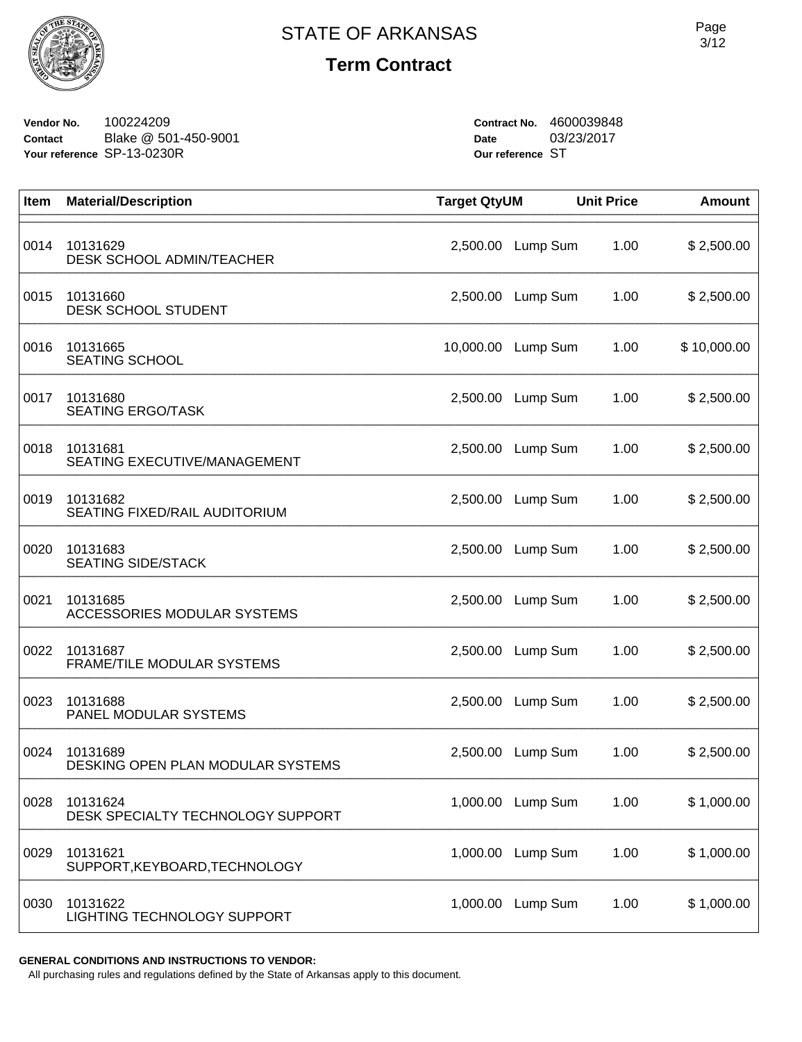

**Vendor No.** 100224209 **Contact** Blake @ 501-450-9001 **Your reference** SP-13-0230R

**Contract No.** 4600039848 **Date** 03/23/2017 **Our reference** ST

| Item | <b>Material/Description</b>                     | <b>Target QtyUM</b> |          | <b>Unit Price</b> | <b>Amount</b> |
|------|-------------------------------------------------|---------------------|----------|-------------------|---------------|
| 0014 | 10131629<br><b>DESK SCHOOL ADMIN/TEACHER</b>    | 2,500.00            | Lump Sum | 1.00              | \$2,500.00    |
| 0015 | 10131660<br><b>DESK SCHOOL STUDENT</b>          | 2,500.00            | Lump Sum | 1.00              | \$2,500.00    |
| 0016 | 10131665<br><b>SEATING SCHOOL</b>               | 10,000.00           | Lump Sum | 1.00              | \$10,000.00   |
| 0017 | 10131680<br><b>SEATING ERGO/TASK</b>            | 2,500.00            | Lump Sum | 1.00              | \$2,500.00    |
| 0018 | 10131681<br><b>SEATING EXECUTIVE/MANAGEMENT</b> | 2,500.00            | Lump Sum | 1.00              | \$2,500.00    |
| 0019 | 10131682<br>SEATING FIXED/RAIL AUDITORIUM       | 2,500.00            | Lump Sum | 1.00              | \$2,500.00    |
| 0020 | 10131683<br><b>SEATING SIDE/STACK</b>           | 2,500.00            | Lump Sum | 1.00              | \$2,500.00    |
| 0021 | 10131685<br>ACCESSORIES MODULAR SYSTEMS         | 2,500.00            | Lump Sum | 1.00              | \$2,500.00    |
| 0022 | 10131687<br>FRAME/TILE MODULAR SYSTEMS          | 2,500.00            | Lump Sum | 1.00              | \$2,500.00    |
| 0023 | 10131688<br>PANEL MODULAR SYSTEMS               | 2,500.00            | Lump Sum | 1.00              | \$2,500.00    |
| 0024 | 10131689<br>DESKING OPEN PLAN MODULAR SYSTEMS   | 2,500.00            | Lump Sum | 1.00              | \$2,500.00    |
| 0028 | 10131624<br>DESK SPECIALTY TECHNOLOGY SUPPORT   | 1,000.00            | Lump Sum | 1.00              | \$1,000.00    |
| 0029 | 10131621<br>SUPPORT, KEYBOARD, TECHNOLOGY       | 1,000.00            | Lump Sum | 1.00              | \$1,000.00    |
| 0030 | 10131622<br>LIGHTING TECHNOLOGY SUPPORT         | 1,000.00            | Lump Sum | 1.00              | \$1,000.00    |

**GENERAL CONDITIONS AND INSTRUCTIONS TO VENDOR:**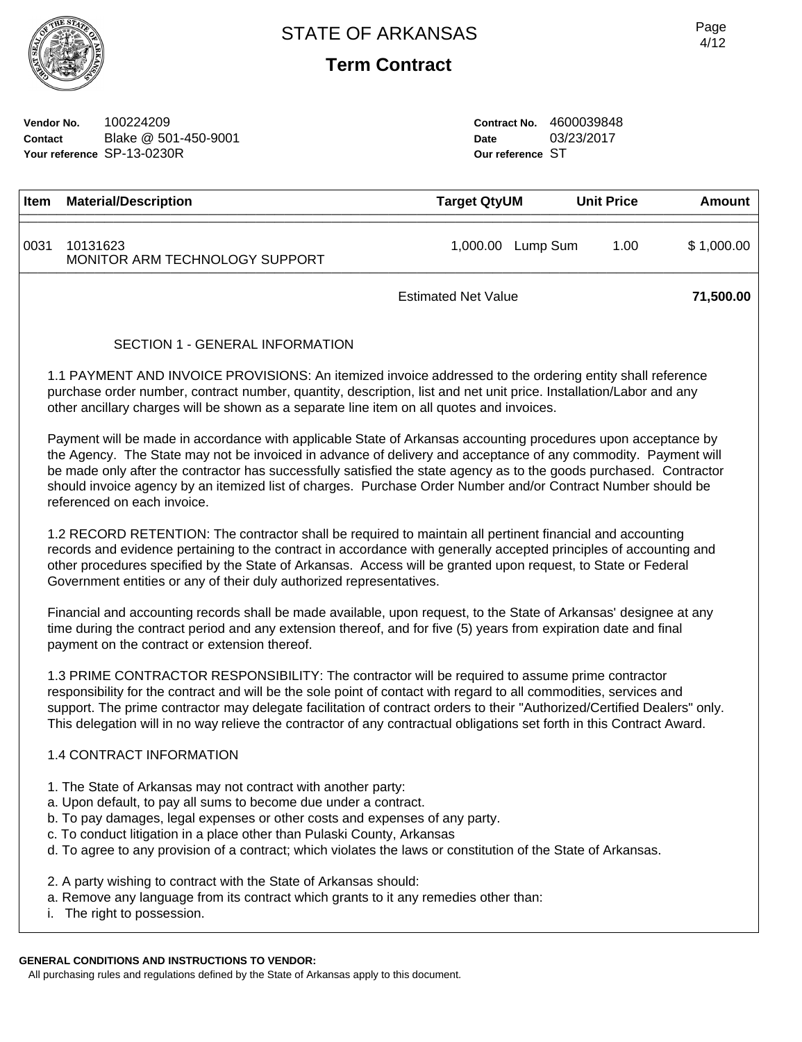

**Vendor No.** 100224209 **Contact** Blake @ 501-450-9001 **Your reference** SP-13-0230R

**Contract No.** 4600039848 **Date** 03/23/2017 **Our reference** ST

| <b>Item</b> | <b>Material/Description</b>                | <b>Target QtyUM</b>        | <b>Unit Price</b> | Amount     |
|-------------|--------------------------------------------|----------------------------|-------------------|------------|
| 0031        | 10131623<br>MONITOR ARM TECHNOLOGY SUPPORT | 1,000.00<br>Lump Sum       | 1.00              | \$1,000.00 |
|             |                                            | <b>Estimated Net Value</b> |                   | 71,500.00  |

#### SECTION 1 - GENERAL INFORMATION

1.1 PAYMENT AND INVOICE PROVISIONS: An itemized invoice addressed to the ordering entity shall reference purchase order number, contract number, quantity, description, list and net unit price. Installation/Labor and any other ancillary charges will be shown as a separate line item on all quotes and invoices.

Payment will be made in accordance with applicable State of Arkansas accounting procedures upon acceptance by the Agency. The State may not be invoiced in advance of delivery and acceptance of any commodity. Payment will be made only after the contractor has successfully satisfied the state agency as to the goods purchased. Contractor should invoice agency by an itemized list of charges. Purchase Order Number and/or Contract Number should be referenced on each invoice.

1.2 RECORD RETENTION: The contractor shall be required to maintain all pertinent financial and accounting records and evidence pertaining to the contract in accordance with generally accepted principles of accounting and other procedures specified by the State of Arkansas. Access will be granted upon request, to State or Federal Government entities or any of their duly authorized representatives.

Financial and accounting records shall be made available, upon request, to the State of Arkansas' designee at any time during the contract period and any extension thereof, and for five (5) years from expiration date and final payment on the contract or extension thereof.

1.3 PRIME CONTRACTOR RESPONSIBILITY: The contractor will be required to assume prime contractor responsibility for the contract and will be the sole point of contact with regard to all commodities, services and support. The prime contractor may delegate facilitation of contract orders to their "Authorized/Certified Dealers" only. This delegation will in no way relieve the contractor of any contractual obligations set forth in this Contract Award.

# 1.4 CONTRACT INFORMATION

- 1. The State of Arkansas may not contract with another party:
- a. Upon default, to pay all sums to become due under a contract.
- b. To pay damages, legal expenses or other costs and expenses of any party.
- c. To conduct litigation in a place other than Pulaski County, Arkansas
- d. To agree to any provision of a contract; which violates the laws or constitution of the State of Arkansas.
- 2. A party wishing to contract with the State of Arkansas should:
- a. Remove any language from its contract which grants to it any remedies other than:
- i. The right to possession.

# **GENERAL CONDITIONS AND INSTRUCTIONS TO VENDOR:**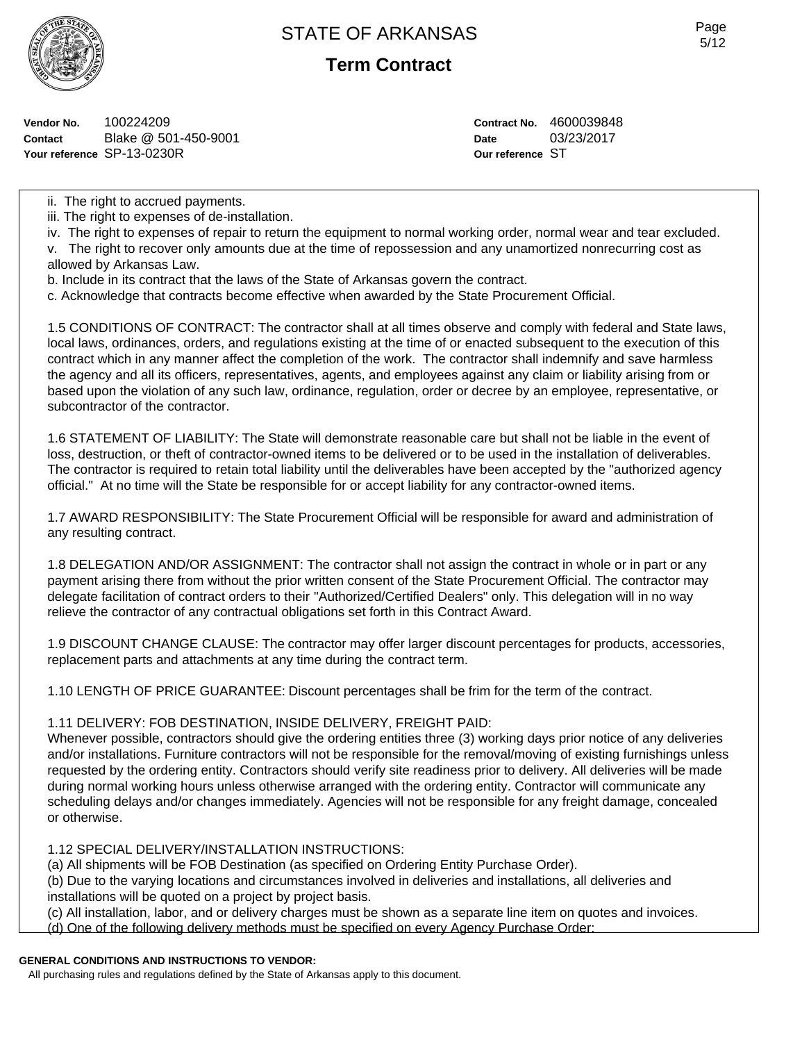

**Term Contract**

**Vendor No.** 100224209 **Contact** Blake @ 501-450-9001 **Your reference** SP-13-0230R

**Contract No.** 4600039848 **Date** 03/23/2017 **Our reference** ST

ii. The right to accrued payments.

- iii. The right to expenses of de-installation.
- iv. The right to expenses of repair to return the equipment to normal working order, normal wear and tear excluded.
- v. The right to recover only amounts due at the time of repossession and any unamortized nonrecurring cost as allowed by Arkansas Law.
- b. Include in its contract that the laws of the State of Arkansas govern the contract.
- c. Acknowledge that contracts become effective when awarded by the State Procurement Official.

1.5 CONDITIONS OF CONTRACT: The contractor shall at all times observe and comply with federal and State laws, local laws, ordinances, orders, and regulations existing at the time of or enacted subsequent to the execution of this contract which in any manner affect the completion of the work. The contractor shall indemnify and save harmless the agency and all its officers, representatives, agents, and employees against any claim or liability arising from or based upon the violation of any such law, ordinance, regulation, order or decree by an employee, representative, or subcontractor of the contractor.

1.6 STATEMENT OF LIABILITY: The State will demonstrate reasonable care but shall not be liable in the event of loss, destruction, or theft of contractor-owned items to be delivered or to be used in the installation of deliverables. The contractor is required to retain total liability until the deliverables have been accepted by the "authorized agency official." At no time will the State be responsible for or accept liability for any contractor-owned items.

1.7 AWARD RESPONSIBILITY: The State Procurement Official will be responsible for award and administration of any resulting contract.

1.8 DELEGATION AND/OR ASSIGNMENT: The contractor shall not assign the contract in whole or in part or any payment arising there from without the prior written consent of the State Procurement Official. The contractor may delegate facilitation of contract orders to their "Authorized/Certified Dealers" only. This delegation will in no way relieve the contractor of any contractual obligations set forth in this Contract Award.

1.9 DISCOUNT CHANGE CLAUSE: The contractor may offer larger discount percentages for products, accessories, replacement parts and attachments at any time during the contract term.

1.10 LENGTH OF PRICE GUARANTEE: Discount percentages shall be frim for the term of the contract.

#### 1.11 DELIVERY: FOB DESTINATION, INSIDE DELIVERY, FREIGHT PAID:

Whenever possible, contractors should give the ordering entities three (3) working days prior notice of any deliveries and/or installations. Furniture contractors will not be responsible for the removal/moving of existing furnishings unless requested by the ordering entity. Contractors should verify site readiness prior to delivery. All deliveries will be made during normal working hours unless otherwise arranged with the ordering entity. Contractor will communicate any scheduling delays and/or changes immediately. Agencies will not be responsible for any freight damage, concealed or otherwise.

# 1.12 SPECIAL DELIVERY/INSTALLATION INSTRUCTIONS:

(a) All shipments will be FOB Destination (as specified on Ordering Entity Purchase Order).

(b) Due to the varying locations and circumstances involved in deliveries and installations, all deliveries and installations will be quoted on a project by project basis.

- (c) All installation, labor, and or delivery charges must be shown as a separate line item on quotes and invoices.
- (d) One of the following delivery methods must be specified on every Agency Purchase Order:

# **GENERAL CONDITIONS AND INSTRUCTIONS TO VENDOR:**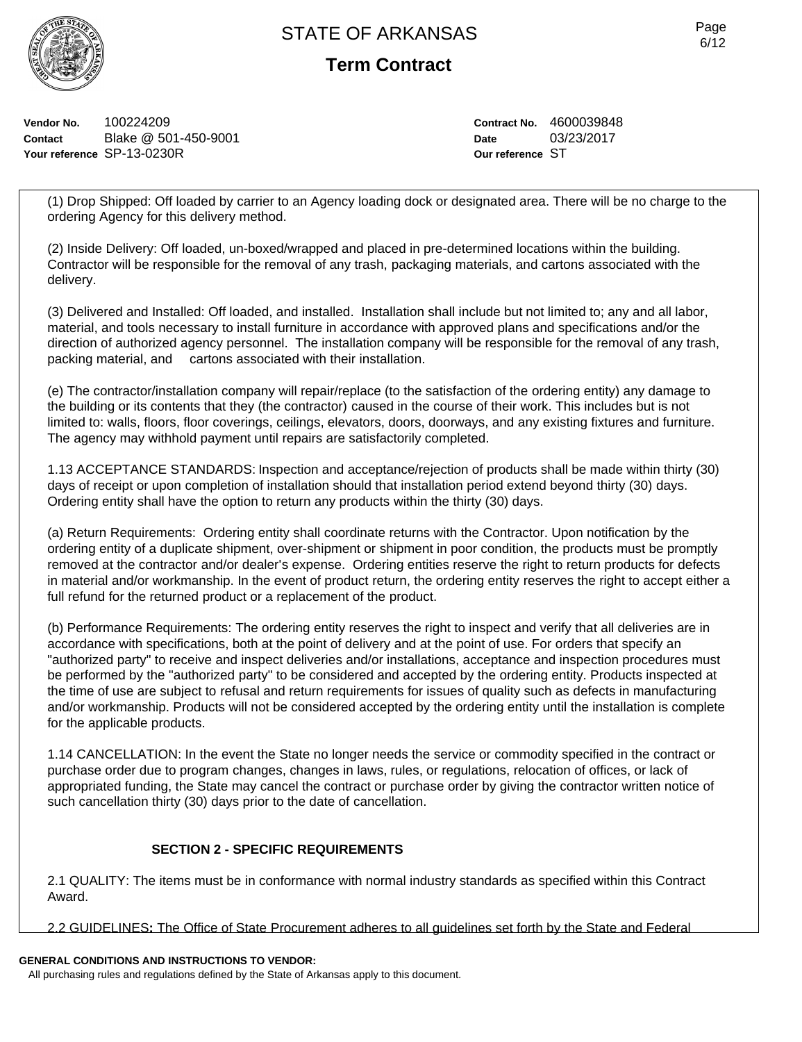

**Term Contract**

**Vendor No.** 100224209 **Contact** Blake @ 501-450-9001 **Your reference** SP-13-0230R

**Contract No.** 4600039848 **Date** 03/23/2017 **Our reference** ST

(1) Drop Shipped: Off loaded by carrier to an Agency loading dock or designated area. There will be no charge to the ordering Agency for this delivery method.

(2) Inside Delivery: Off loaded, un-boxed/wrapped and placed in pre-determined locations within the building. Contractor will be responsible for the removal of any trash, packaging materials, and cartons associated with the delivery.

(3) Delivered and Installed: Off loaded, and installed. Installation shall include but not limited to; any and all labor, material, and tools necessary to install furniture in accordance with approved plans and specifications and/or the direction of authorized agency personnel. The installation company will be responsible for the removal of any trash, packing material, and cartons associated with their installation.

(e) The contractor/installation company will repair/replace (to the satisfaction of the ordering entity) any damage to the building or its contents that they (the contractor) caused in the course of their work. This includes but is not limited to: walls, floors, floor coverings, ceilings, elevators, doors, doorways, and any existing fixtures and furniture. The agency may withhold payment until repairs are satisfactorily completed.

1.13 ACCEPTANCE STANDARDS: Inspection and acceptance/rejection of products shall be made within thirty (30) days of receipt or upon completion of installation should that installation period extend beyond thirty (30) days. Ordering entity shall have the option to return any products within the thirty (30) days.

(a) Return Requirements: Ordering entity shall coordinate returns with the Contractor. Upon notification by the ordering entity of a duplicate shipment, over-shipment or shipment in poor condition, the products must be promptly removed at the contractor and/or dealer's expense. Ordering entities reserve the right to return products for defects in material and/or workmanship. In the event of product return, the ordering entity reserves the right to accept either a full refund for the returned product or a replacement of the product.

(b) Performance Requirements: The ordering entity reserves the right to inspect and verify that all deliveries are in accordance with specifications, both at the point of delivery and at the point of use. For orders that specify an "authorized party" to receive and inspect deliveries and/or installations, acceptance and inspection procedures must be performed by the "authorized party" to be considered and accepted by the ordering entity. Products inspected at the time of use are subject to refusal and return requirements for issues of quality such as defects in manufacturing and/or workmanship. Products will not be considered accepted by the ordering entity until the installation is complete for the applicable products.

1.14 CANCELLATION: In the event the State no longer needs the service or commodity specified in the contract or purchase order due to program changes, changes in laws, rules, or regulations, relocation of offices, or lack of appropriated funding, the State may cancel the contract or purchase order by giving the contractor written notice of such cancellation thirty (30) days prior to the date of cancellation.

# **SECTION 2 - SPECIFIC REQUIREMENTS**

2.1 QUALITY: The items must be in conformance with normal industry standards as specified within this Contract Award.

2.2 GUIDELINES**:** The Office of State Procurement adheres to all guidelines set forth by the State and Federal

# **GENERAL CONDITIONS AND INSTRUCTIONS TO VENDOR:**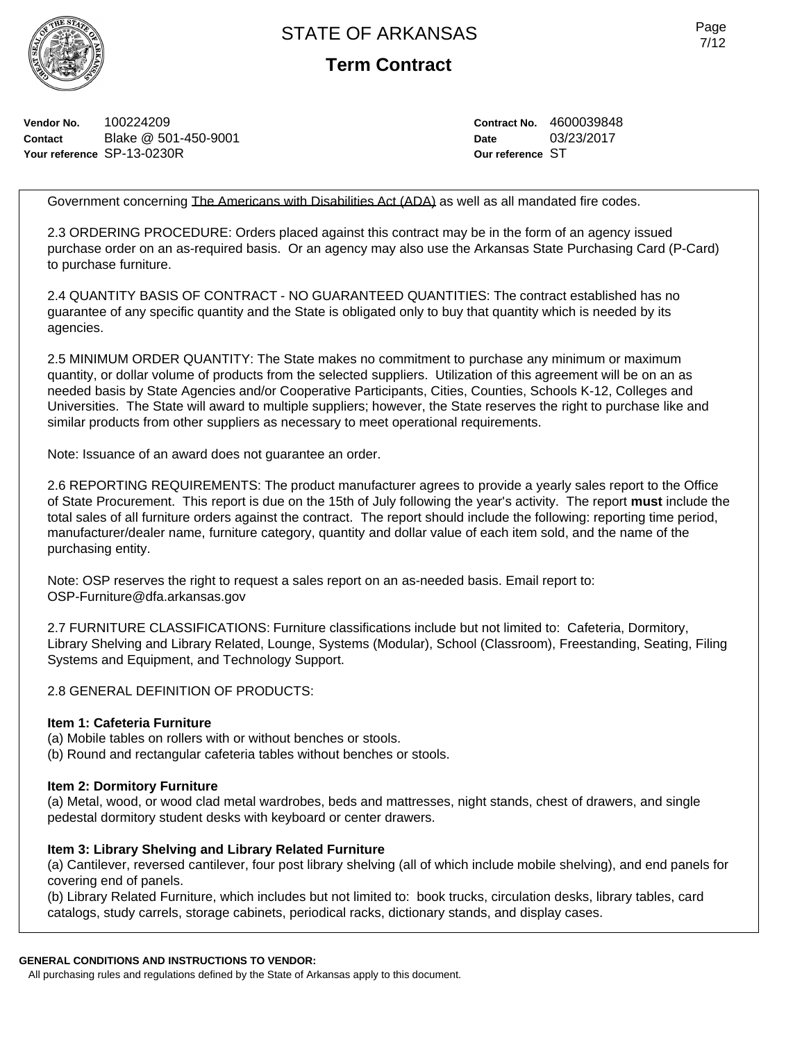

**Term Contract**

**Vendor No.** 100224209 **Contact** Blake @ 501-450-9001 **Your reference** SP-13-0230R

**Contract No.** 4600039848 **Date** 03/23/2017 **Our reference** ST

Government concerning The Americans with Disabilities Act (ADA) as well as all mandated fire codes.

2.3 ORDERING PROCEDURE: Orders placed against this contract may be in the form of an agency issued purchase order on an as-required basis. Or an agency may also use the Arkansas State Purchasing Card (P-Card) to purchase furniture.

2.4 QUANTITY BASIS OF CONTRACT - NO GUARANTEED QUANTITIES: The contract established has no guarantee of any specific quantity and the State is obligated only to buy that quantity which is needed by its agencies.

2.5 MINIMUM ORDER QUANTITY: The State makes no commitment to purchase any minimum or maximum quantity, or dollar volume of products from the selected suppliers. Utilization of this agreement will be on an as needed basis by State Agencies and/or Cooperative Participants, Cities, Counties, Schools K-12, Colleges and Universities. The State will award to multiple suppliers; however, the State reserves the right to purchase like and similar products from other suppliers as necessary to meet operational requirements.

Note: Issuance of an award does not guarantee an order.

2.6 REPORTING REQUIREMENTS: The product manufacturer agrees to provide a yearly sales report to the Office of State Procurement. This report is due on the 15th of July following the year's activity. The report **must** include the total sales of all furniture orders against the contract. The report should include the following: reporting time period, manufacturer/dealer name, furniture category, quantity and dollar value of each item sold, and the name of the purchasing entity.

Note: OSP reserves the right to request a sales report on an as-needed basis. Email report to: OSP-Furniture@dfa.arkansas.gov

2.7 FURNITURE CLASSIFICATIONS: Furniture classifications include but not limited to: Cafeteria, Dormitory, Library Shelving and Library Related, Lounge, Systems (Modular), School (Classroom), Freestanding, Seating, Filing Systems and Equipment, and Technology Support.

2.8 GENERAL DEFINITION OF PRODUCTS:

#### **Item 1: Cafeteria Furniture**

(a) Mobile tables on rollers with or without benches or stools.

(b) Round and rectangular cafeteria tables without benches or stools.

#### **Item 2: Dormitory Furniture**

(a) Metal, wood, or wood clad metal wardrobes, beds and mattresses, night stands, chest of drawers, and single pedestal dormitory student desks with keyboard or center drawers.

# **Item 3: Library Shelving and Library Related Furniture**

(a) Cantilever, reversed cantilever, four post library shelving (all of which include mobile shelving), and end panels for covering end of panels.

(b) Library Related Furniture, which includes but not limited to: book trucks, circulation desks, library tables, card catalogs, study carrels, storage cabinets, periodical racks, dictionary stands, and display cases.

#### **GENERAL CONDITIONS AND INSTRUCTIONS TO VENDOR:**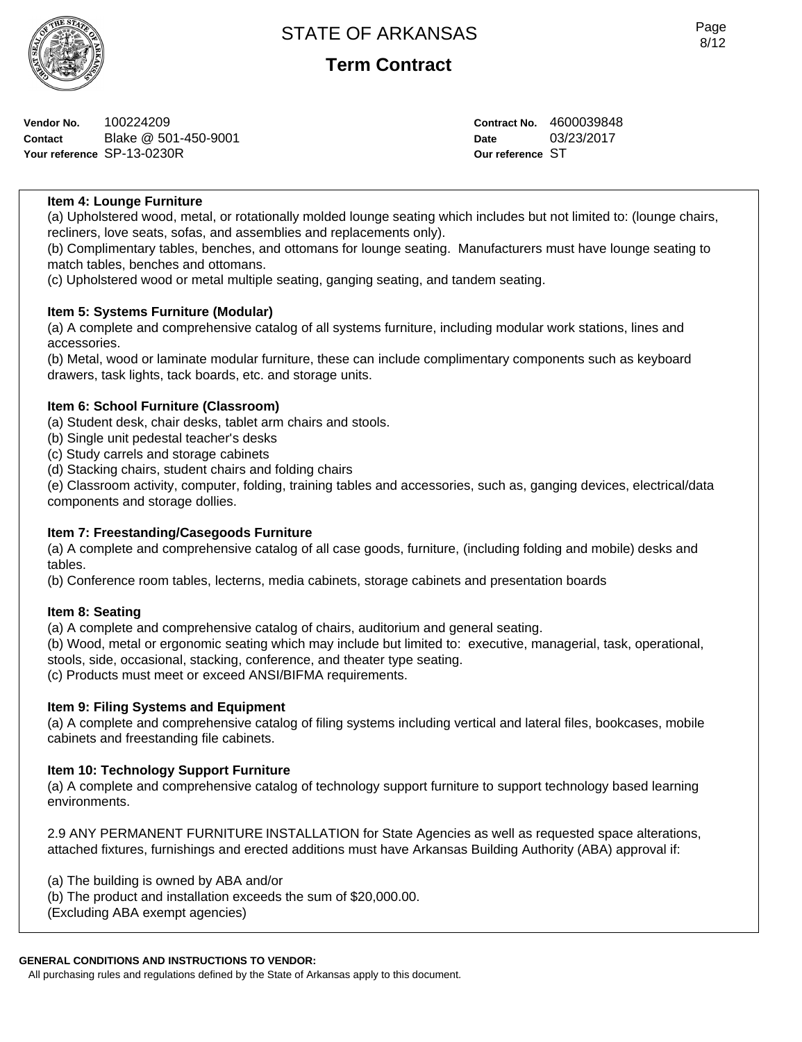

**Vendor No.** 100224209 **Contact** Blake @ 501-450-9001 **Your reference** SP-13-0230R

**Contract No.** 4600039848 **Date** 03/23/2017 **Our reference** ST

# **Item 4: Lounge Furniture**

(a) Upholstered wood, metal, or rotationally molded lounge seating which includes but not limited to: (lounge chairs, recliners, love seats, sofas, and assemblies and replacements only).

(b) Complimentary tables, benches, and ottomans for lounge seating. Manufacturers must have lounge seating to match tables, benches and ottomans.

(c) Upholstered wood or metal multiple seating, ganging seating, and tandem seating.

# **Item 5: Systems Furniture (Modular)**

(a) A complete and comprehensive catalog of all systems furniture, including modular work stations, lines and accessories.

(b) Metal, wood or laminate modular furniture, these can include complimentary components such as keyboard drawers, task lights, tack boards, etc. and storage units.

### **Item 6: School Furniture (Classroom)**

(a) Student desk, chair desks, tablet arm chairs and stools.

(b) Single unit pedestal teacher's desks

(c) Study carrels and storage cabinets

(d) Stacking chairs, student chairs and folding chairs

(e) Classroom activity, computer, folding, training tables and accessories, such as, ganging devices, electrical/data components and storage dollies.

# **Item 7: Freestanding/Casegoods Furniture**

(a) A complete and comprehensive catalog of all case goods, furniture, (including folding and mobile) desks and tables.

(b) Conference room tables, lecterns, media cabinets, storage cabinets and presentation boards

#### **Item 8: Seating**

(a) A complete and comprehensive catalog of chairs, auditorium and general seating.

(b) Wood, metal or ergonomic seating which may include but limited to: executive, managerial, task, operational, stools, side, occasional, stacking, conference, and theater type seating.

(c) Products must meet or exceed ANSI/BIFMA requirements.

#### **Item 9: Filing Systems and Equipment**

(a) A complete and comprehensive catalog of filing systems including vertical and lateral files, bookcases, mobile cabinets and freestanding file cabinets.

#### **Item 10: Technology Support Furniture**

(a) A complete and comprehensive catalog of technology support furniture to support technology based learning environments.

2.9 ANY PERMANENT FURNITURE INSTALLATION for State Agencies as well as requested space alterations, attached fixtures, furnishings and erected additions must have Arkansas Building Authority (ABA) approval if:

(a) The building is owned by ABA and/or

(b) The product and installation exceeds the sum of \$20,000.00.

(Excluding ABA exempt agencies)

# **GENERAL CONDITIONS AND INSTRUCTIONS TO VENDOR:**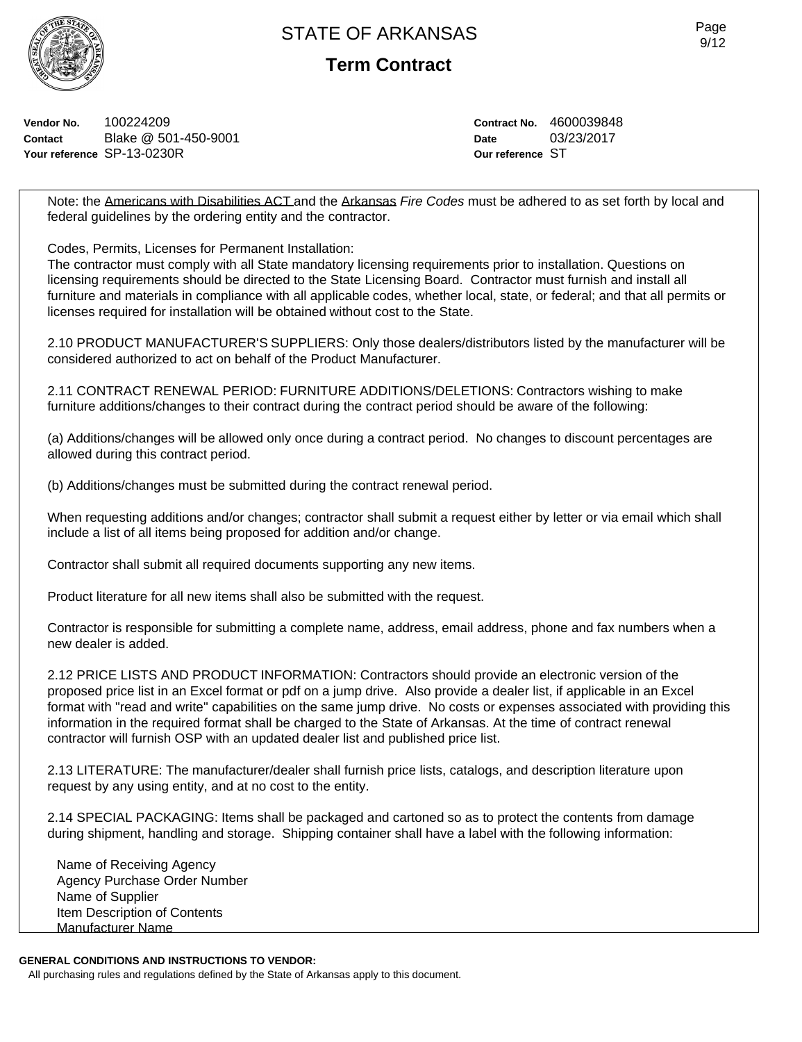

**Term Contract**

**Vendor No.** 100224209 **Contact** Blake @ 501-450-9001 **Your reference** SP-13-0230R

**Contract No.** 4600039848 **Date** 03/23/2017 **Our reference** ST

Note: the Americans with Disabilities ACT and the Arkansas *Fire Codes* must be adhered to as set forth by local and federal guidelines by the ordering entity and the contractor.

Codes, Permits, Licenses for Permanent Installation:

The contractor must comply with all State mandatory licensing requirements prior to installation. Questions on licensing requirements should be directed to the State Licensing Board. Contractor must furnish and install all furniture and materials in compliance with all applicable codes, whether local, state, or federal; and that all permits or licenses required for installation will be obtained without cost to the State.

2.10 PRODUCT MANUFACTURER'S SUPPLIERS: Only those dealers/distributors listed by the manufacturer will be considered authorized to act on behalf of the Product Manufacturer.

2.11 CONTRACT RENEWAL PERIOD: FURNITURE ADDITIONS/DELETIONS: Contractors wishing to make furniture additions/changes to their contract during the contract period should be aware of the following:

(a) Additions/changes will be allowed only once during a contract period. No changes to discount percentages are allowed during this contract period.

(b) Additions/changes must be submitted during the contract renewal period.

When requesting additions and/or changes; contractor shall submit a request either by letter or via email which shall include a list of all items being proposed for addition and/or change.

Contractor shall submit all required documents supporting any new items.

Product literature for all new items shall also be submitted with the request.

Contractor is responsible for submitting a complete name, address, email address, phone and fax numbers when a new dealer is added.

2.12 PRICE LISTS AND PRODUCT INFORMATION: Contractors should provide an electronic version of the proposed price list in an Excel format or pdf on a jump drive. Also provide a dealer list, if applicable in an Excel format with "read and write" capabilities on the same jump drive. No costs or expenses associated with providing this information in the required format shall be charged to the State of Arkansas. At the time of contract renewal contractor will furnish OSP with an updated dealer list and published price list.

2.13 LITERATURE: The manufacturer/dealer shall furnish price lists, catalogs, and description literature upon request by any using entity, and at no cost to the entity.

2.14 SPECIAL PACKAGING: Items shall be packaged and cartoned so as to protect the contents from damage during shipment, handling and storage. Shipping container shall have a label with the following information:

Name of Receiving Agency Agency Purchase Order Number Name of Supplier Item Description of Contents Manufacturer Name

# **GENERAL CONDITIONS AND INSTRUCTIONS TO VENDOR:**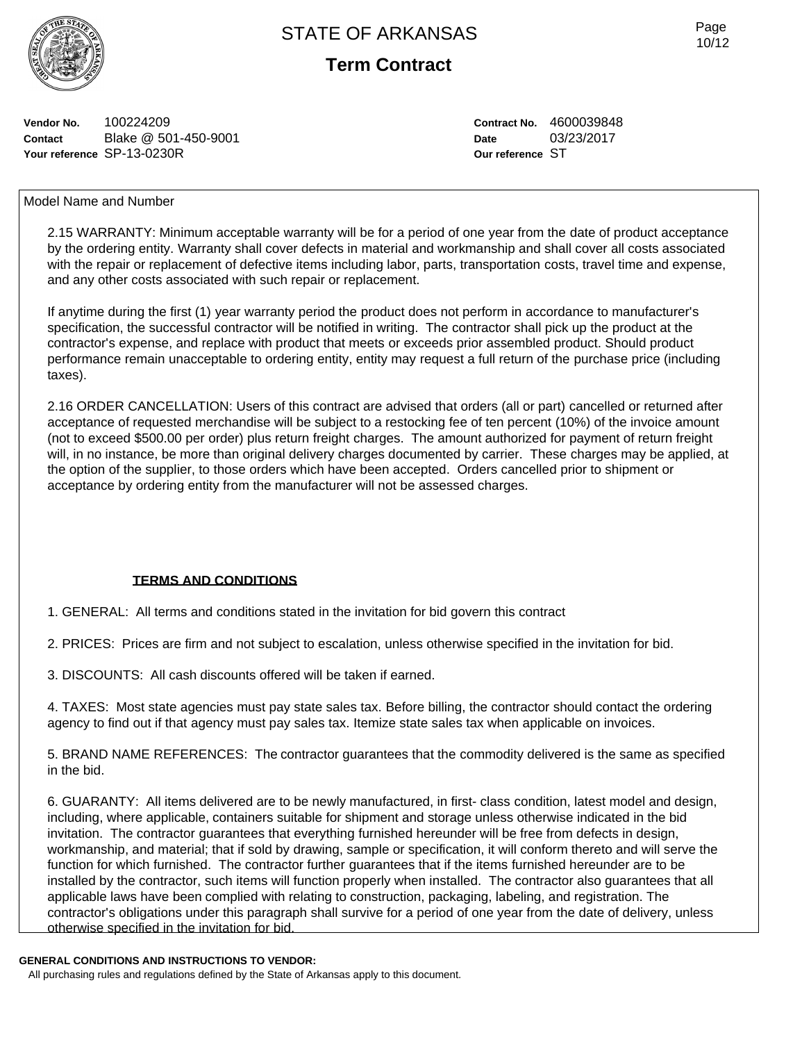



**Vendor No.** 100224209 **Contact** Blake @ 501-450-9001 **Your reference** SP-13-0230R

**Contract No.** 4600039848 **Date** 03/23/2017 **Our reference** ST

# Model Name and Number

2.15 WARRANTY: Minimum acceptable warranty will be for a period of one year from the date of product acceptance by the ordering entity. Warranty shall cover defects in material and workmanship and shall cover all costs associated with the repair or replacement of defective items including labor, parts, transportation costs, travel time and expense, and any other costs associated with such repair or replacement.

If anytime during the first (1) year warranty period the product does not perform in accordance to manufacturer's specification, the successful contractor will be notified in writing. The contractor shall pick up the product at the contractor's expense, and replace with product that meets or exceeds prior assembled product. Should product performance remain unacceptable to ordering entity, entity may request a full return of the purchase price (including taxes).

2.16 ORDER CANCELLATION: Users of this contract are advised that orders (all or part) cancelled or returned after acceptance of requested merchandise will be subject to a restocking fee of ten percent (10%) of the invoice amount (not to exceed \$500.00 per order) plus return freight charges. The amount authorized for payment of return freight will, in no instance, be more than original delivery charges documented by carrier. These charges may be applied, at the option of the supplier, to those orders which have been accepted. Orders cancelled prior to shipment or acceptance by ordering entity from the manufacturer will not be assessed charges.

# **TERMS AND CONDITIONS**

1. GENERAL: All terms and conditions stated in the invitation for bid govern this contract

2. PRICES: Prices are firm and not subject to escalation, unless otherwise specified in the invitation for bid.

3. DISCOUNTS: All cash discounts offered will be taken if earned.

4. TAXES: Most state agencies must pay state sales tax. Before billing, the contractor should contact the ordering agency to find out if that agency must pay sales tax. Itemize state sales tax when applicable on invoices.

5. BRAND NAME REFERENCES: The contractor guarantees that the commodity delivered is the same as specified in the bid.

6. GUARANTY: All items delivered are to be newly manufactured, in first- class condition, latest model and design, including, where applicable, containers suitable for shipment and storage unless otherwise indicated in the bid invitation. The contractor guarantees that everything furnished hereunder will be free from defects in design, workmanship, and material; that if sold by drawing, sample or specification, it will conform thereto and will serve the function for which furnished. The contractor further guarantees that if the items furnished hereunder are to be installed by the contractor, such items will function properly when installed. The contractor also guarantees that all applicable laws have been complied with relating to construction, packaging, labeling, and registration. The contractor's obligations under this paragraph shall survive for a period of one year from the date of delivery, unless otherwise specified in the invitation for bid.

#### **GENERAL CONDITIONS AND INSTRUCTIONS TO VENDOR:**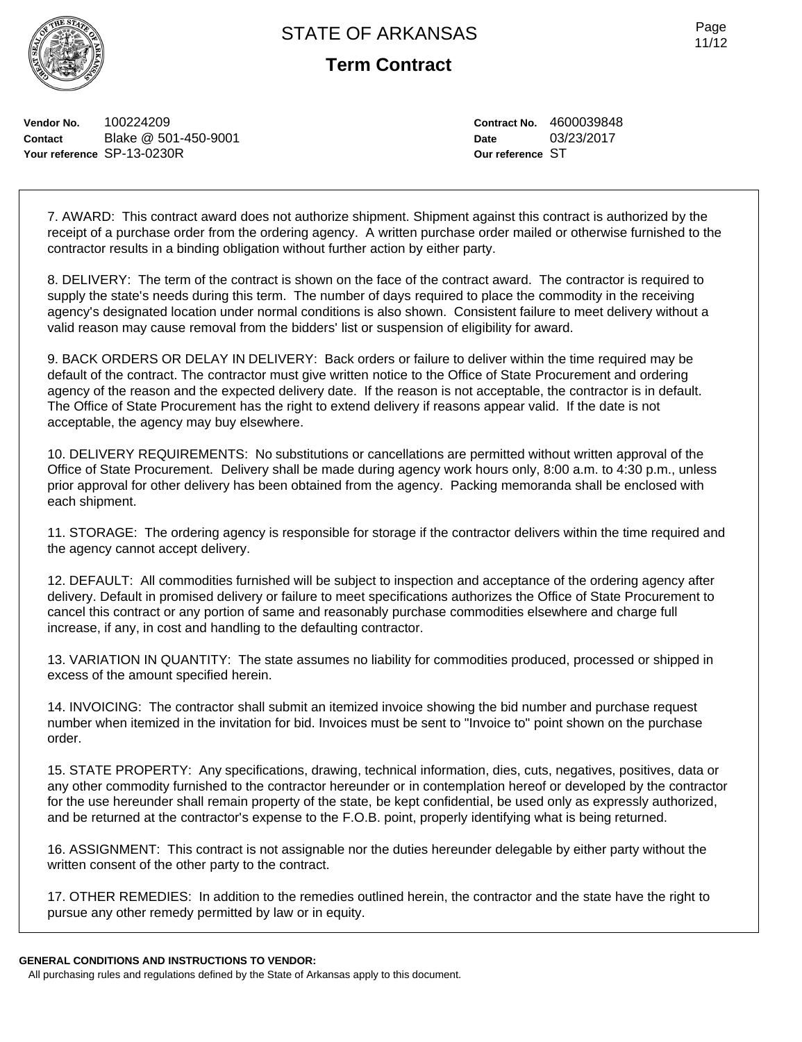

**Term Contract**

**Vendor No.** 100224209 **Contact** Blake @ 501-450-9001 **Your reference** SP-13-0230R

**Contract No.** 4600039848 **Date** 03/23/2017 **Our reference** ST

7. AWARD: This contract award does not authorize shipment. Shipment against this contract is authorized by the receipt of a purchase order from the ordering agency. A written purchase order mailed or otherwise furnished to the contractor results in a binding obligation without further action by either party.

8. DELIVERY: The term of the contract is shown on the face of the contract award. The contractor is required to supply the state's needs during this term. The number of days required to place the commodity in the receiving agency's designated location under normal conditions is also shown. Consistent failure to meet delivery without a valid reason may cause removal from the bidders' list or suspension of eligibility for award.

9. BACK ORDERS OR DELAY IN DELIVERY: Back orders or failure to deliver within the time required may be default of the contract. The contractor must give written notice to the Office of State Procurement and ordering agency of the reason and the expected delivery date. If the reason is not acceptable, the contractor is in default. The Office of State Procurement has the right to extend delivery if reasons appear valid. If the date is not acceptable, the agency may buy elsewhere.

10. DELIVERY REQUIREMENTS: No substitutions or cancellations are permitted without written approval of the Office of State Procurement. Delivery shall be made during agency work hours only, 8:00 a.m. to 4:30 p.m., unless prior approval for other delivery has been obtained from the agency. Packing memoranda shall be enclosed with each shipment.

11. STORAGE: The ordering agency is responsible for storage if the contractor delivers within the time required and the agency cannot accept delivery.

12. DEFAULT: All commodities furnished will be subject to inspection and acceptance of the ordering agency after delivery. Default in promised delivery or failure to meet specifications authorizes the Office of State Procurement to cancel this contract or any portion of same and reasonably purchase commodities elsewhere and charge full increase, if any, in cost and handling to the defaulting contractor.

13. VARIATION IN QUANTITY: The state assumes no liability for commodities produced, processed or shipped in excess of the amount specified herein.

14. INVOICING: The contractor shall submit an itemized invoice showing the bid number and purchase request number when itemized in the invitation for bid. Invoices must be sent to "Invoice to" point shown on the purchase order.

15. STATE PROPERTY: Any specifications, drawing, technical information, dies, cuts, negatives, positives, data or any other commodity furnished to the contractor hereunder or in contemplation hereof or developed by the contractor for the use hereunder shall remain property of the state, be kept confidential, be used only as expressly authorized, and be returned at the contractor's expense to the F.O.B. point, properly identifying what is being returned.

16. ASSIGNMENT: This contract is not assignable nor the duties hereunder delegable by either party without the written consent of the other party to the contract.

17. OTHER REMEDIES: In addition to the remedies outlined herein, the contractor and the state have the right to pursue any other remedy permitted by law or in equity.

#### **GENERAL CONDITIONS AND INSTRUCTIONS TO VENDOR:**